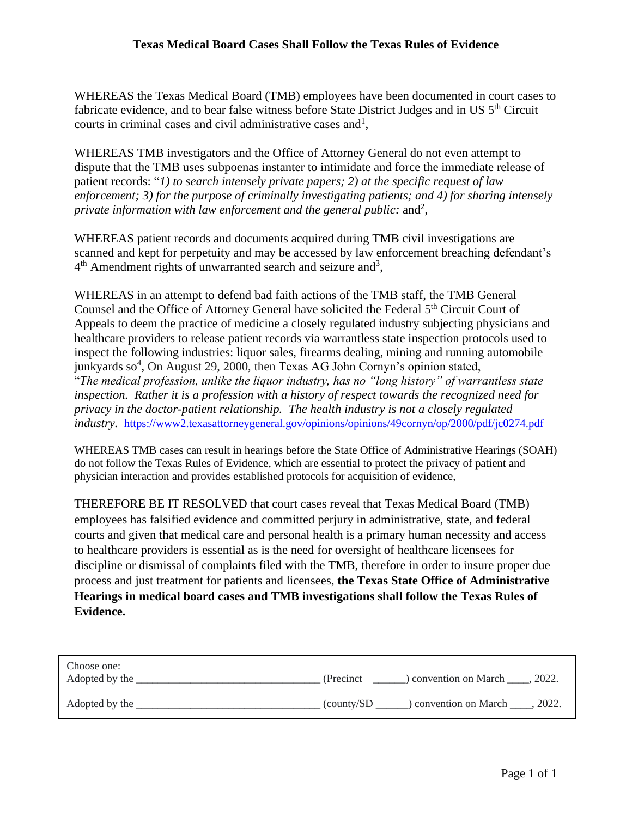WHEREAS the Texas Medical Board (TMB) employees have been documented in court cases to fabricate evidence, and to bear false witness before State District Judges and in US 5<sup>th</sup> Circuit courts in criminal cases and civil administrative cases and<sup>1</sup>,

WHEREAS TMB investigators and the Office of Attorney General do not even attempt to dispute that the TMB uses subpoenas instanter to intimidate and force the immediate release of patient records: "*1) to search intensely private papers; 2) at the specific request of law enforcement; 3) for the purpose of criminally investigating patients; and 4) for sharing intensely*  private information with law enforcement and the general public: and<sup>2</sup>,

WHEREAS patient records and documents acquired during TMB civil investigations are scanned and kept for perpetuity and may be accessed by law enforcement breaching defendant's  $4<sup>th</sup>$  Amendment rights of unwarranted search and seizure and<sup>3</sup>,

WHEREAS in an attempt to defend bad faith actions of the TMB staff, the TMB General Counsel and the Office of Attorney General have solicited the Federal 5<sup>th</sup> Circuit Court of Appeals to deem the practice of medicine a closely regulated industry subjecting physicians and healthcare providers to release patient records via warrantless state inspection protocols used to inspect the following industries: liquor sales, firearms dealing, mining and running automobile junkyards so<sup>4</sup>, On August 29, 2000, then Texas AG John Cornyn's opinion stated, "*The medical profession, unlike the liquor industry, has no "long history" of warrantless state inspection. Rather it is a profession with a history of respect towards the recognized need for privacy in the doctor-patient relationship. The health industry is not a closely regulated industry.* <https://www2.texasattorneygeneral.gov/opinions/opinions/49cornyn/op/2000/pdf/jc0274.pdf>

WHEREAS TMB cases can result in hearings before the State Office of Administrative Hearings (SOAH) do not follow the Texas Rules of Evidence, which are essential to protect the privacy of patient and physician interaction and provides established protocols for acquisition of evidence,

THEREFORE BE IT RESOLVED that court cases reveal that Texas Medical Board (TMB) employees has falsified evidence and committed perjury in administrative, state, and federal courts and given that medical care and personal health is a primary human necessity and access to healthcare providers is essential as is the need for oversight of healthcare licensees for discipline or dismissal of complaints filed with the TMB, therefore in order to insure proper due process and just treatment for patients and licensees, **the Texas State Office of Administrative Hearings in medical board cases and TMB investigations shall follow the Texas Rules of Evidence.**

| Choose one:<br>Adopted by the | .2022.<br>) convention on March<br>(Precinct)                |
|-------------------------------|--------------------------------------------------------------|
| Adopted by the                | ) convention on March<br>.2022.<br>$\frac{1}{2}$ (county/SD) |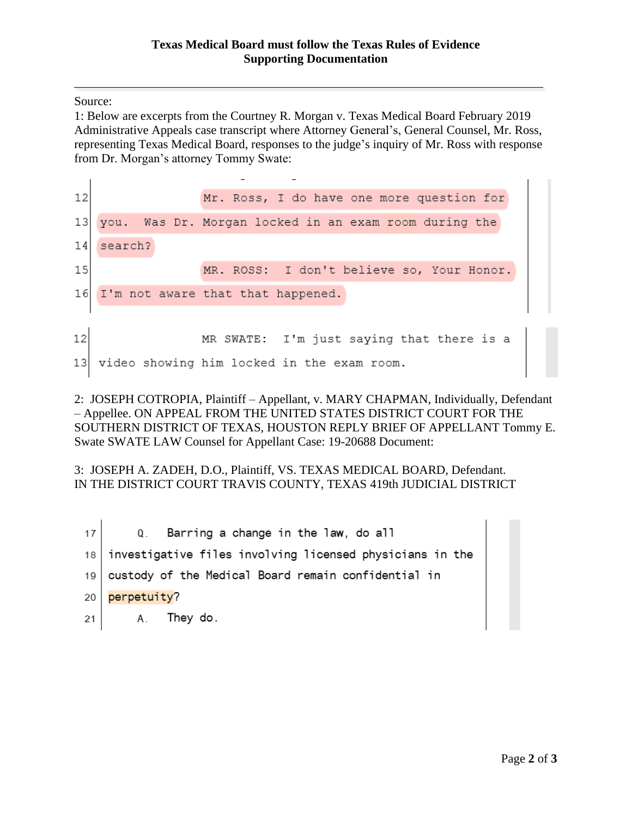Source:

1: Below are excerpts from the Courtney R. Morgan v. Texas Medical Board February 2019 Administrative Appeals case transcript where Attorney General's, General Counsel, Mr. Ross, representing Texas Medical Board, responses to the judge's inquiry of Mr. Ross with response from Dr. Morgan's attorney Tommy Swate:

12 Mr. Ross, I do have one more question for  $13$ Was Dr. Morgan locked in an exam room during the you.  $14$ search? MR. ROSS: I don't believe so, Your Honor.  $15<sub>l</sub>$ 16 I'm not aware that that happened. 12 I'm just saying that there is a MR SWATE: video showing him locked in the exam room. 13

2: JOSEPH COTROPIA, Plaintiff – Appellant, v. MARY CHAPMAN, Individually, Defendant – Appellee. ON APPEAL FROM THE UNITED STATES DISTRICT COURT FOR THE SOUTHERN DISTRICT OF TEXAS, HOUSTON REPLY BRIEF OF APPELLANT Tommy E. Swate SWATE LAW Counsel for Appellant Case: 19-20688 Document:

3: JOSEPH A. ZADEH, D.O., Plaintiff, VS. TEXAS MEDICAL BOARD, Defendant. IN THE DISTRICT COURT TRAVIS COUNTY, TEXAS 419th JUDICIAL DISTRICT

Barring a change in the law, do all 17  $Q_{\perp}$ investigative files involving licensed physicians in the  $18$ custody of the Medical Board remain confidential in 19 perpetuity? 20 They do. 21 Α.